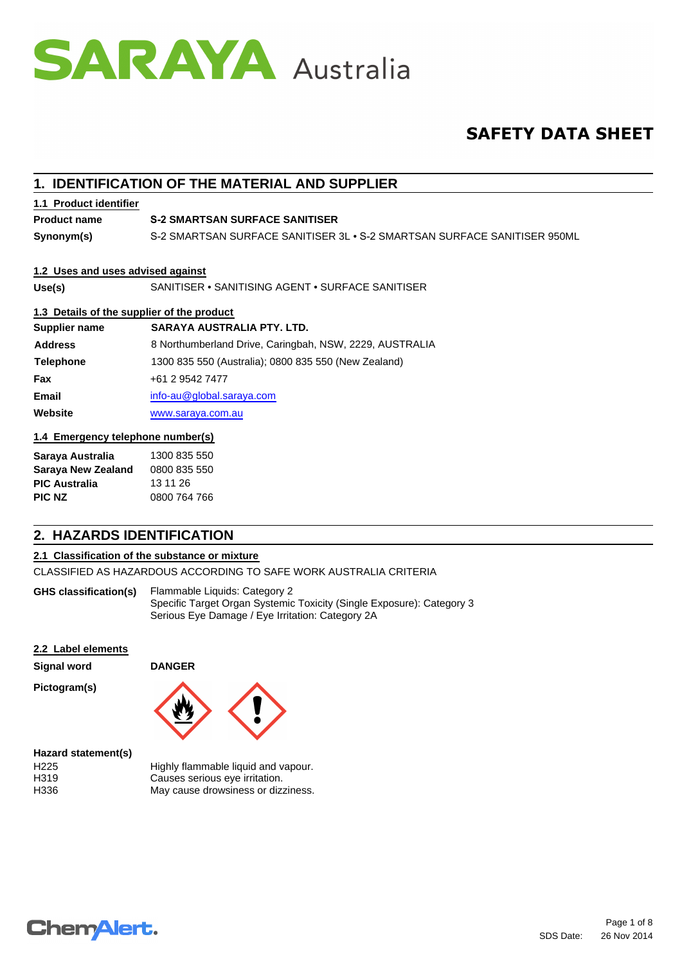

# **SAFETY DATA SHEET**

## **1. IDENTIFICATION OF THE MATERIAL AND SUPPLIER**

### **1.1 Product identifier**

**Product name**

### **S-2 SMARTSAN SURFACE SANITISER**

**Synonym(s)** S-2 SMARTSAN SURFACE SANITISER 3L • S-2 SMARTSAN SURFACE SANITISER 950ML

### **1.2 Uses and uses advised against**

**Use(s)** SANITISER • SANITISING AGENT • SURFACE SANITISER

### **1.3 Details of the supplier of the product**

| Supplier name    | SARAYA AUSTRALIA PTY. LTD.                              |
|------------------|---------------------------------------------------------|
| <b>Address</b>   | 8 Northumberland Drive, Caringbah, NSW, 2229, AUSTRALIA |
| <b>Telephone</b> | 1300 835 550 (Australia); 0800 835 550 (New Zealand)    |
| <b>Fax</b>       | +61 2 9542 7477                                         |
| <b>Email</b>     | $info$ -au $@$ global.saraya.com                        |
| Website          | www.saraya.com.au                                       |

### **1.4 Emergency telephone number(s)**

| Saraya Australia          | 1300 835 550 |
|---------------------------|--------------|
| <b>Saraya New Zealand</b> | 0800 835 550 |
| <b>PIC Australia</b>      | 13 11 26     |
| PIC NZ                    | 0800 764 766 |

## **2. HAZARDS IDENTIFICATION**

### **2.1 Classification of the substance or mixture**

CLASSIFIED AS HAZARDOUS ACCORDING TO SAFE WORK AUSTRALIA CRITERIA

Flammable Liquids: Category 2 Specific Target Organ Systemic Toxicity (Single Exposure): Category 3 Serious Eye Damage / Eye Irritation: Category 2A **GHS classification(s)**

### **2.2 Label elements**

| Signal word         | <b>DANGER</b>                       |
|---------------------|-------------------------------------|
| Pictogram(s)        |                                     |
| Hazard statement(s) |                                     |
| H <sub>225</sub>    | Highly flammable liquid and vapour. |
| H319                | Causes serious eye irritation.      |
| H336                | May cause drowsiness or dizziness.  |

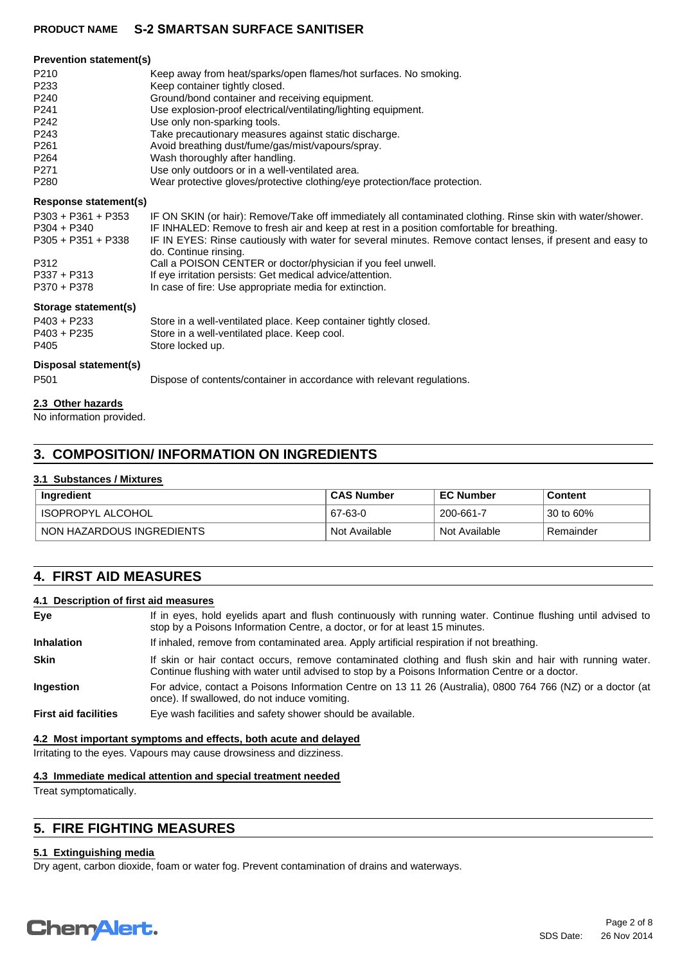| <b>Prevention statement(s)</b> |                                                                                                                                     |
|--------------------------------|-------------------------------------------------------------------------------------------------------------------------------------|
| P <sub>210</sub>               | Keep away from heat/sparks/open flames/hot surfaces. No smoking.                                                                    |
| P <sub>233</sub>               | Keep container tightly closed.                                                                                                      |
| P <sub>240</sub>               | Ground/bond container and receiving equipment.                                                                                      |
| P <sub>241</sub>               | Use explosion-proof electrical/ventilating/lighting equipment.                                                                      |
| P242                           | Use only non-sparking tools.                                                                                                        |
| P <sub>243</sub>               | Take precautionary measures against static discharge.                                                                               |
| P <sub>261</sub>               | Avoid breathing dust/fume/gas/mist/vapours/spray.                                                                                   |
| P <sub>264</sub>               | Wash thoroughly after handling.                                                                                                     |
| P <sub>271</sub>               | Use only outdoors or in a well-ventilated area.                                                                                     |
| P <sub>280</sub>               | Wear protective gloves/protective clothing/eye protection/face protection.                                                          |
| <b>Response statement(s)</b>   |                                                                                                                                     |
| $P303 + P361 + P353$           | IF ON SKIN (or hair): Remove/Take off immediately all contaminated clothing. Rinse skin with water/shower.                          |
| $P304 + P340$                  | IF INHALED: Remove to fresh air and keep at rest in a position comfortable for breathing.                                           |
| $P305 + P351 + P338$           | IF IN EYES: Rinse cautiously with water for several minutes. Remove contact lenses, if present and easy to<br>do. Continue rinsing. |
| P312                           | Call a POISON CENTER or doctor/physician if you feel unwell.                                                                        |
| $P337 + P313$                  | If eye irritation persists: Get medical advice/attention.                                                                           |
| P370 + P378                    | In case of fire: Use appropriate media for extinction.                                                                              |
| Storage statement(s)           |                                                                                                                                     |
| $P403 + P233$                  | Store in a well-ventilated place. Keep container tightly closed.                                                                    |
| $P403 + P235$                  | Store in a well-ventilated place. Keep cool.                                                                                        |
| P405                           | Store locked up.                                                                                                                    |
| Disposal statement(s)          |                                                                                                                                     |
| P <sub>501</sub>               | Dispose of contents/container in accordance with relevant regulations.                                                              |
| 22 Other hererde               |                                                                                                                                     |

### **2.3 Other hazards**

No information provided.

## **3. COMPOSITION/ INFORMATION ON INGREDIENTS**

### **3.1 Substances / Mixtures**

| Ingredient                | <b>CAS Number</b> | <b>EC Number</b> | <b>Content</b> |
|---------------------------|-------------------|------------------|----------------|
| ' ISOPROPYL ALCOHOL       | 67-63-0           | 200-661-7        | 30 to 60%      |
| NON HAZARDOUS INGREDIENTS | Not Available     | Not Available    | Remainder      |

## **4. FIRST AID MEASURES**

### **4.1 Description of first aid measures**

| Eye                         | If in eyes, hold eyelids apart and flush continuously with running water. Continue flushing until advised to<br>stop by a Poisons Information Centre, a doctor, or for at least 15 minutes.                 |
|-----------------------------|-------------------------------------------------------------------------------------------------------------------------------------------------------------------------------------------------------------|
| <b>Inhalation</b>           | If inhaled, remove from contaminated area. Apply artificial respiration if not breathing.                                                                                                                   |
| <b>Skin</b>                 | If skin or hair contact occurs, remove contaminated clothing and flush skin and hair with running water.<br>Continue flushing with water until advised to stop by a Poisons Information Centre or a doctor. |
| <b>Ingestion</b>            | For advice, contact a Poisons Information Centre on 13 11 26 (Australia), 0800 764 766 (NZ) or a doctor (at<br>once). If swallowed, do not induce vomiting.                                                 |
| <b>First aid facilities</b> | Eye wash facilities and safety shower should be available.                                                                                                                                                  |

### **4.2 Most important symptoms and effects, both acute and delayed**

Irritating to the eyes. Vapours may cause drowsiness and dizziness.

### **4.3 Immediate medical attention and special treatment needed**

Treat symptomatically.

## **5. FIRE FIGHTING MEASURES**

### **5.1 Extinguishing media**

Dry agent, carbon dioxide, foam or water fog. Prevent contamination of drains and waterways.

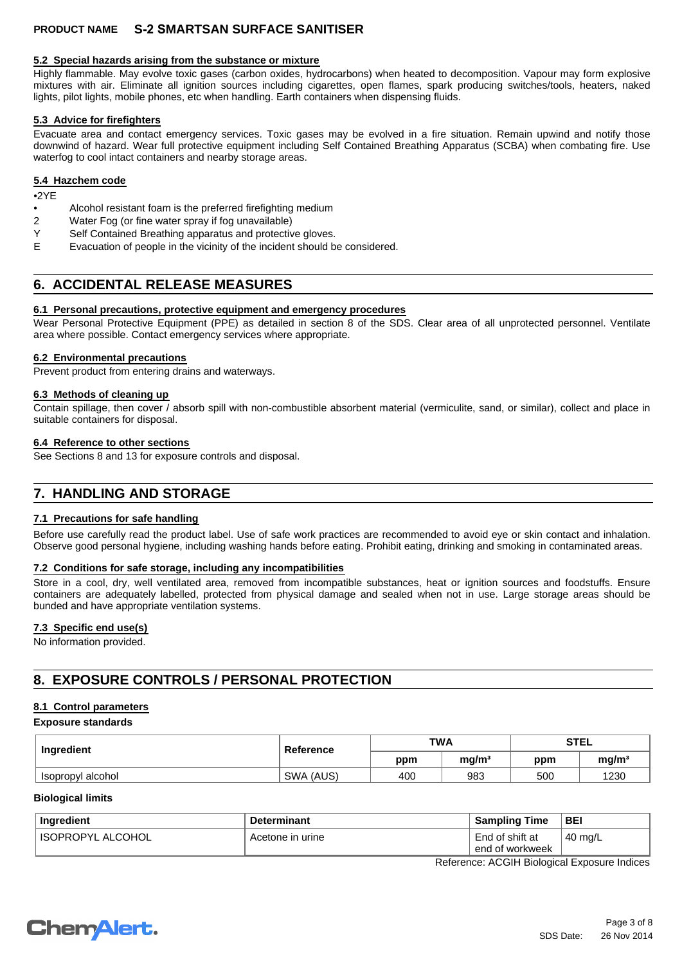### **5.2 Special hazards arising from the substance or mixture**

Highly flammable. May evolve toxic gases (carbon oxides, hydrocarbons) when heated to decomposition. Vapour may form explosive mixtures with air. Eliminate all ignition sources including cigarettes, open flames, spark producing switches/tools, heaters, naked lights, pilot lights, mobile phones, etc when handling. Earth containers when dispensing fluids.

### **5.3 Advice for firefighters**

Evacuate area and contact emergency services. Toxic gases may be evolved in a fire situation. Remain upwind and notify those downwind of hazard. Wear full protective equipment including Self Contained Breathing Apparatus (SCBA) when combating fire. Use waterfog to cool intact containers and nearby storage areas.

### **5.4 Hazchem code**

•2YE

- Alcohol resistant foam is the preferred firefighting medium<br>
2 Water Fog (or fine water spray if fog unavailable)
- Water Fog (or fine water spray if fog unavailable)
- Y Self Contained Breathing apparatus and protective gloves.<br>F Fyacuation of people in the vicinity of the incident should b
- Evacuation of people in the vicinity of the incident should be considered.

## **6. ACCIDENTAL RELEASE MEASURES**

### **6.1 Personal precautions, protective equipment and emergency procedures**

Wear Personal Protective Equipment (PPE) as detailed in section 8 of the SDS. Clear area of all unprotected personnel. Ventilate area where possible. Contact emergency services where appropriate.

### **6.2 Environmental precautions**

Prevent product from entering drains and waterways.

### **6.3 Methods of cleaning up**

Contain spillage, then cover / absorb spill with non-combustible absorbent material (vermiculite, sand, or similar), collect and place in suitable containers for disposal.

### **6.4 Reference to other sections**

See Sections 8 and 13 for exposure controls and disposal.

## **7. HANDLING AND STORAGE**

### **7.1 Precautions for safe handling**

Before use carefully read the product label. Use of safe work practices are recommended to avoid eye or skin contact and inhalation. Observe good personal hygiene, including washing hands before eating. Prohibit eating, drinking and smoking in contaminated areas.

### **7.2 Conditions for safe storage, including any incompatibilities**

Store in a cool, dry, well ventilated area, removed from incompatible substances, heat or ignition sources and foodstuffs. Ensure containers are adequately labelled, protected from physical damage and sealed when not in use. Large storage areas should be bunded and have appropriate ventilation systems.

### **7.3 Specific end use(s)**

No information provided.

## **8. EXPOSURE CONTROLS / PERSONAL PROTECTION**

### **8.1 Control parameters**

### **Exposure standards**

| Ingredient        | Reference | <b>TWA</b> |                   | <b>STEL</b> |                   |
|-------------------|-----------|------------|-------------------|-------------|-------------------|
|                   |           | ppm        | mq/m <sup>3</sup> | ppm         | mg/m <sup>3</sup> |
| Isopropyl alcohol | SWA (AUS) | 400        | 983               | 500         | 1230              |

### **Biological limits**

| Ingredient               | <b>Determinant</b> | <b>Sampling Time</b> | <b>BEI</b>    |
|--------------------------|--------------------|----------------------|---------------|
| ' ALCOHOL<br>' ISOPROPYL | Acetone in urine   | End of shift at      | $\pm$ 40 mg/L |
|                          |                    | end of workweek      |               |

Reference: ACGIH Biological Exposure Indices

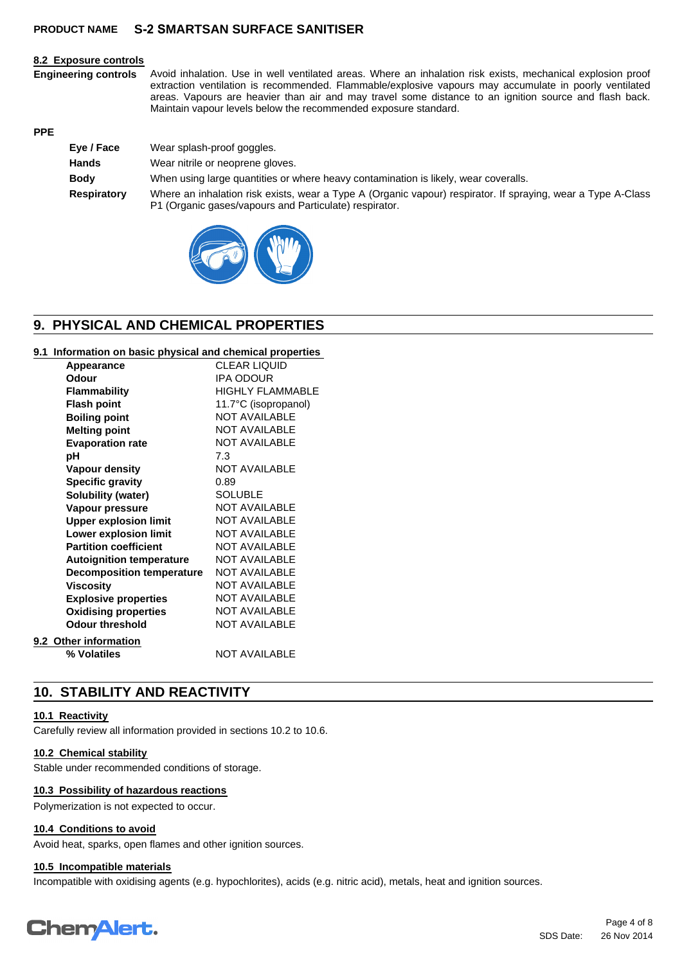#### **8.2 Exposure controls**

**Engineering controls** Avoid inhalation. Use in well ventilated areas. Where an inhalation risk exists, mechanical explosion proof extraction ventilation is recommended. Flammable/explosive vapours may accumulate in poorly ventilated areas. Vapours are heavier than air and may travel some distance to an ignition source and flash back. Maintain vapour levels below the recommended exposure standard.

### **PPE**

| Eye / Face  | Wear splash-proof goggles.                                                                                                                                             |
|-------------|------------------------------------------------------------------------------------------------------------------------------------------------------------------------|
| Hands       | Wear nitrile or neoprene gloves.                                                                                                                                       |
| <b>Body</b> | When using large quantities or where heavy contamination is likely, wear coveralls.                                                                                    |
| Respiratory | Where an inhalation risk exists, wear a Type A (Organic vapour) respirator. If spraying, wear a Type A-Class<br>P1 (Organic gases/vapours and Particulate) respirator. |



## **9. PHYSICAL AND CHEMICAL PROPERTIES**

### **9.1 Information on basic physical and chemical properties**

| Appearance                       | <b>CLEAR LIQUID</b>     |
|----------------------------------|-------------------------|
| Odour                            | <b>IPA ODOUR</b>        |
| Flammability                     | <b>HIGHLY FLAMMABLE</b> |
| <b>Flash point</b>               | 11.7°C (isopropanol)    |
| <b>Boiling point</b>             | <b>NOT AVAILABLE</b>    |
| <b>Melting point</b>             | <b>NOT AVAILABLE</b>    |
| <b>Evaporation rate</b>          | <b>NOT AVAILABLE</b>    |
| рH                               | 7.3                     |
| <b>Vapour density</b>            | <b>NOT AVAILABLE</b>    |
| <b>Specific gravity</b>          | 0.89                    |
| Solubility (water)               | <b>SOLUBLE</b>          |
| Vapour pressure                  | <b>NOT AVAILABLE</b>    |
| <b>Upper explosion limit</b>     | <b>NOT AVAILABLE</b>    |
| Lower explosion limit            | <b>NOT AVAILABLE</b>    |
| <b>Partition coefficient</b>     | <b>NOT AVAILABLE</b>    |
| <b>Autoignition temperature</b>  | <b>NOT AVAILABLE</b>    |
| <b>Decomposition temperature</b> | <b>NOT AVAILABLE</b>    |
| <b>Viscosity</b>                 | <b>NOT AVAILABLE</b>    |
| <b>Explosive properties</b>      | <b>NOT AVAILABLE</b>    |
| <b>Oxidising properties</b>      | <b>NOT AVAILABLE</b>    |
| <b>Odour threshold</b>           | <b>NOT AVAILABLE</b>    |
| 9.2 Other information            |                         |
| % Volatiles                      | <b>NOT AVAILABLE</b>    |
|                                  |                         |

## **10. STABILITY AND REACTIVITY**

### **10.1 Reactivity**

Carefully review all information provided in sections 10.2 to 10.6.

### **10.2 Chemical stability**

Stable under recommended conditions of storage.

### **10.3 Possibility of hazardous reactions**

Polymerization is not expected to occur.

### **10.4 Conditions to avoid**

Avoid heat, sparks, open flames and other ignition sources.

### **10.5 Incompatible materials**

Incompatible with oxidising agents (e.g. hypochlorites), acids (e.g. nitric acid), metals, heat and ignition sources.

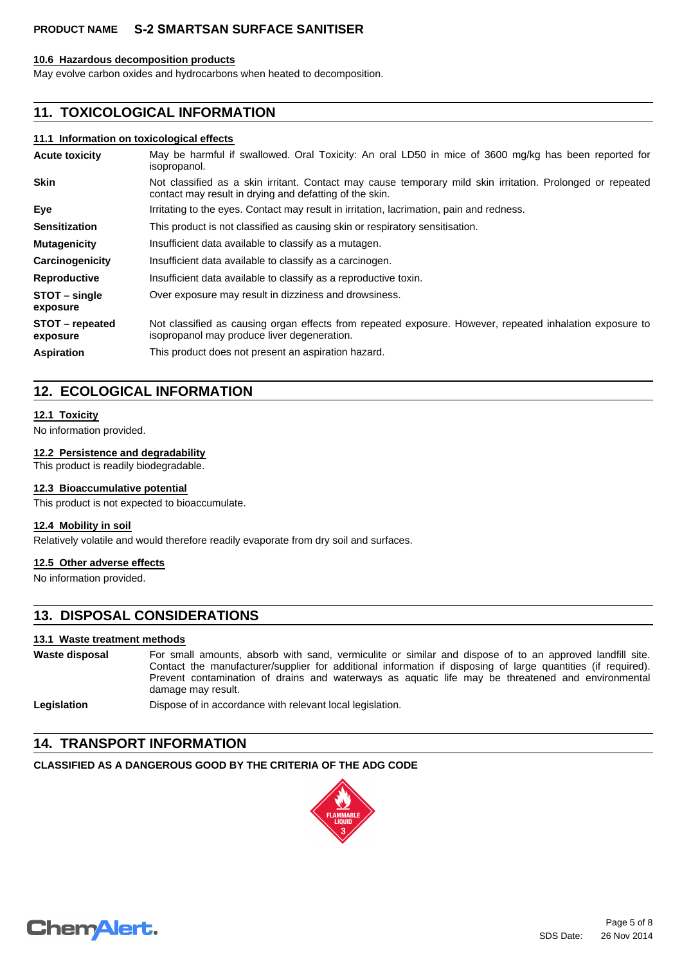### **10.6 Hazardous decomposition products**

May evolve carbon oxides and hydrocarbons when heated to decomposition.

## **11. TOXICOLOGICAL INFORMATION**

### **11.1 Information on toxicological effects**

| <b>Acute toxicity</b>       | May be harmful if swallowed. Oral Toxicity: An oral LD50 in mice of 3600 mg/kg has been reported for<br>isopropanol.                                                  |
|-----------------------------|-----------------------------------------------------------------------------------------------------------------------------------------------------------------------|
| <b>Skin</b>                 | Not classified as a skin irritant. Contact may cause temporary mild skin irritation. Prolonged or repeated<br>contact may result in drying and defatting of the skin. |
| Eye                         | Irritating to the eyes. Contact may result in irritation, lacrimation, pain and redness.                                                                              |
| <b>Sensitization</b>        | This product is not classified as causing skin or respiratory sensitisation.                                                                                          |
| <b>Mutagenicity</b>         | Insufficient data available to classify as a mutagen.                                                                                                                 |
| Carcinogenicity             | Insufficient data available to classify as a carcinogen.                                                                                                              |
| <b>Reproductive</b>         | Insufficient data available to classify as a reproductive toxin.                                                                                                      |
| STOT – single<br>exposure   | Over exposure may result in dizziness and drowsiness.                                                                                                                 |
| STOT - repeated<br>exposure | Not classified as causing organ effects from repeated exposure. However, repeated inhalation exposure to<br>isopropanol may produce liver degeneration.               |
| <b>Aspiration</b>           | This product does not present an aspiration hazard.                                                                                                                   |

## **12. ECOLOGICAL INFORMATION**

### **12.1 Toxicity**

No information provided.

### **12.2 Persistence and degradability**

This product is readily biodegradable.

### **12.3 Bioaccumulative potential**

This product is not expected to bioaccumulate.

### **12.4 Mobility in soil**

Relatively volatile and would therefore readily evaporate from dry soil and surfaces.

### **12.5 Other adverse effects**

No information provided.

## **13. DISPOSAL CONSIDERATIONS**

### **13.1 Waste treatment methods**

| Waste disposal | For small amounts, absorb with sand, vermiculite or similar and dispose of to an approved landfill site.<br>Contact the manufacturer/supplier for additional information if disposing of large quantities (if required).<br>Prevent contamination of drains and waterways as aguatic life may be threatened and environmental<br>damage may result. |
|----------------|-----------------------------------------------------------------------------------------------------------------------------------------------------------------------------------------------------------------------------------------------------------------------------------------------------------------------------------------------------|
| Legislation    | Dispose of in accordance with relevant local legislation.                                                                                                                                                                                                                                                                                           |

## **14. TRANSPORT INFORMATION**

## **CLASSIFIED AS A DANGEROUS GOOD BY THE CRITERIA OF THE ADG CODE**



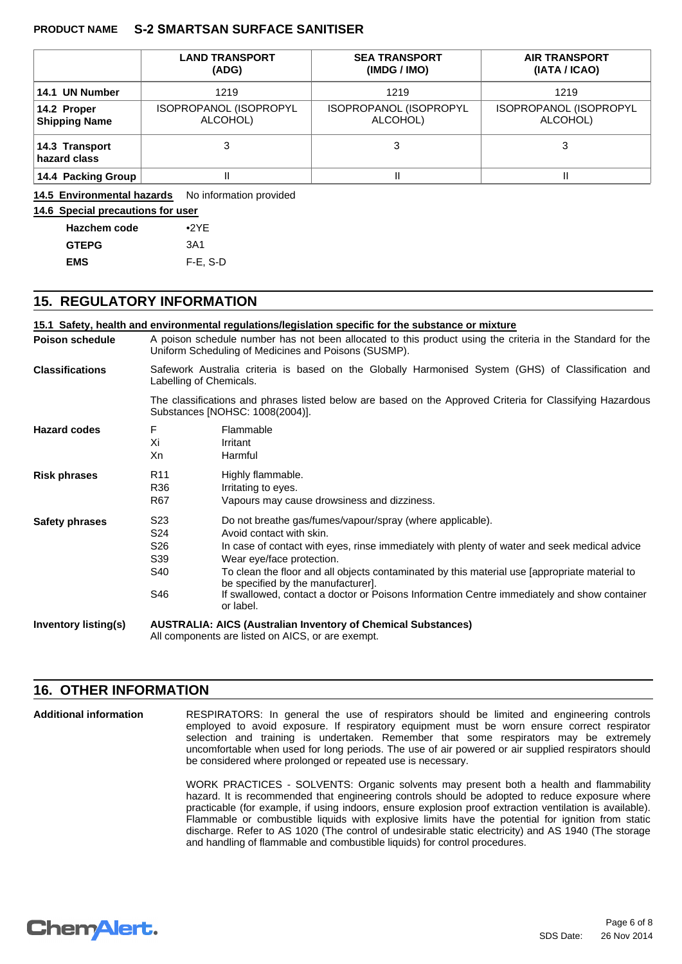|                                     | <b>LAND TRANSPORT</b><br>(ADG)     | <b>SEA TRANSPORT</b><br>(IMDG / IMO) | <b>AIR TRANSPORT</b><br>(IATA / ICAO) |
|-------------------------------------|------------------------------------|--------------------------------------|---------------------------------------|
| 14.1 UN Number                      | 1219                               | 1219                                 | 1219                                  |
| 14.2 Proper<br><b>Shipping Name</b> | ISOPROPANOL (ISOPROPYL<br>ALCOHOL) | ISOPROPANOL (ISOPROPYL<br>ALCOHOL)   | ISOPROPANOL (ISOPROPYL<br>ALCOHOL)    |
| 14.3 Transport<br>hazard class      |                                    | 3                                    | 3                                     |
| 14.4 Packing Group                  |                                    | II                                   |                                       |

14.5 Environmental hazards No information provided

### **14.6 Special precautions for user**

| <b>Hazchem code</b> | $\bullet$ 2YE |
|---------------------|---------------|
| <b>GTEPG</b>        | 3A1           |
| <b>EMS</b>          | $F-E$ , S-D   |

### **15. REGULATORY INFORMATION**

|                        |                                                                                                                                                                    | 15.1 Safety, health and environmental regulations/legislation specific for the substance or mixture                                                                                                                                                                                                                                                                                                                                                                   |  |  |  |
|------------------------|--------------------------------------------------------------------------------------------------------------------------------------------------------------------|-----------------------------------------------------------------------------------------------------------------------------------------------------------------------------------------------------------------------------------------------------------------------------------------------------------------------------------------------------------------------------------------------------------------------------------------------------------------------|--|--|--|
| <b>Poison schedule</b> | A poison schedule number has not been allocated to this product using the criteria in the Standard for the<br>Uniform Scheduling of Medicines and Poisons (SUSMP). |                                                                                                                                                                                                                                                                                                                                                                                                                                                                       |  |  |  |
| <b>Classifications</b> | Safework Australia criteria is based on the Globally Harmonised System (GHS) of Classification and<br>Labelling of Chemicals.                                      |                                                                                                                                                                                                                                                                                                                                                                                                                                                                       |  |  |  |
|                        | The classifications and phrases listed below are based on the Approved Criteria for Classifying Hazardous<br>Substances [NOHSC: 1008(2004)].                       |                                                                                                                                                                                                                                                                                                                                                                                                                                                                       |  |  |  |
| <b>Hazard codes</b>    | F<br>Xi<br>Xn                                                                                                                                                      | Flammable<br>Irritant<br>Harmful                                                                                                                                                                                                                                                                                                                                                                                                                                      |  |  |  |
| <b>Risk phrases</b>    | R <sub>11</sub><br>R36<br>R67                                                                                                                                      | Highly flammable.<br>Irritating to eyes.<br>Vapours may cause drowsiness and dizziness.                                                                                                                                                                                                                                                                                                                                                                               |  |  |  |
| <b>Safety phrases</b>  | S <sub>23</sub><br>S <sub>24</sub><br>S <sub>26</sub><br>S39<br>S40<br>S46                                                                                         | Do not breathe gas/fumes/vapour/spray (where applicable).<br>Avoid contact with skin.<br>In case of contact with eyes, rinse immediately with plenty of water and seek medical advice<br>Wear eye/face protection.<br>To clean the floor and all objects contaminated by this material use [appropriate material to<br>be specified by the manufacturer].<br>If swallowed, contact a doctor or Poisons Information Centre immediately and show container<br>or label. |  |  |  |
| Inventory listing(s)   | <b>AUSTRALIA: AICS (Australian Inventory of Chemical Substances)</b><br>All components are listed on AICS, or are exempt.                                          |                                                                                                                                                                                                                                                                                                                                                                                                                                                                       |  |  |  |

### **16. OTHER INFORMATION**

**Additional information**

RESPIRATORS: In general the use of respirators should be limited and engineering controls employed to avoid exposure. If respiratory equipment must be worn ensure correct respirator selection and training is undertaken. Remember that some respirators may be extremely uncomfortable when used for long periods. The use of air powered or air supplied respirators should be considered where prolonged or repeated use is necessary.

WORK PRACTICES - SOLVENTS: Organic solvents may present both a health and flammability hazard. It is recommended that engineering controls should be adopted to reduce exposure where practicable (for example, if using indoors, ensure explosion proof extraction ventilation is available). Flammable or combustible liquids with explosive limits have the potential for ignition from static discharge. Refer to AS 1020 (The control of undesirable static electricity) and AS 1940 (The storage and handling of flammable and combustible liquids) for control procedures.

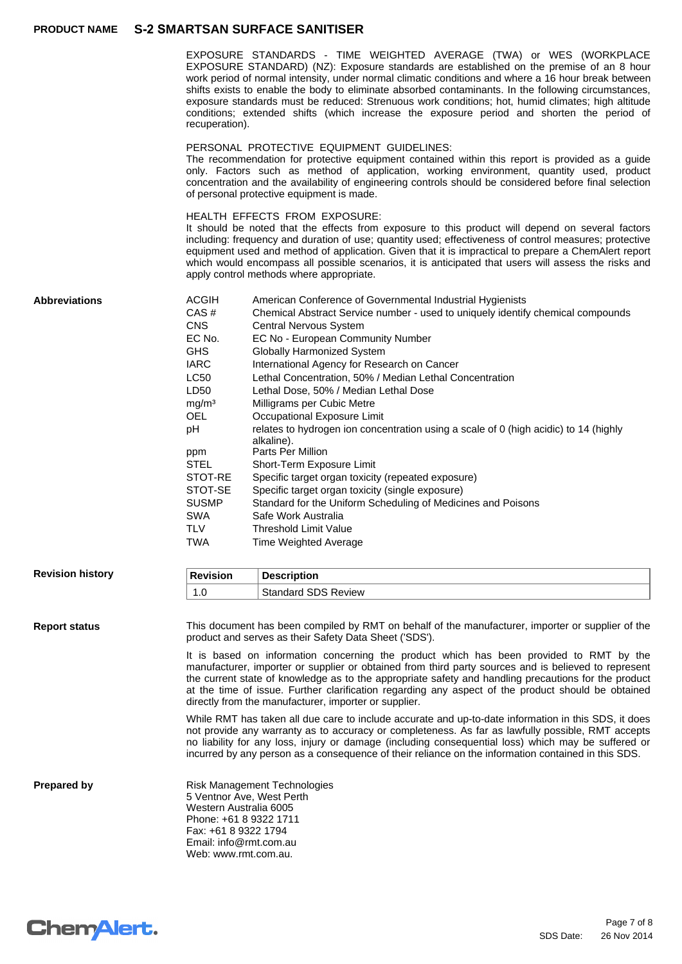EXPOSURE STANDARDS - TIME WEIGHTED AVERAGE (TWA) or WES (WORKPLACE EXPOSURE STANDARD) (NZ): Exposure standards are established on the premise of an 8 hour work period of normal intensity, under normal climatic conditions and where a 16 hour break between shifts exists to enable the body to eliminate absorbed contaminants. In the following circumstances, exposure standards must be reduced: Strenuous work conditions; hot, humid climates; high altitude conditions; extended shifts (which increase the exposure period and shorten the period of recuperation).

#### PERSONAL PROTECTIVE EQUIPMENT GUIDELINES:

The recommendation for protective equipment contained within this report is provided as a guide only. Factors such as method of application, working environment, quantity used, product concentration and the availability of engineering controls should be considered before final selection of personal protective equipment is made.

#### HEALTH EFFECTS FROM EXPOSURE:

It should be noted that the effects from exposure to this product will depend on several factors including: frequency and duration of use; quantity used; effectiveness of control measures; protective equipment used and method of application. Given that it is impractical to prepare a ChemAlert report which would encompass all possible scenarios, it is anticipated that users will assess the risks and apply control methods where appropriate.

| <b>Abbreviations</b>    | <b>ACGIH</b><br>CAS#<br>CNS<br>EC No.<br><b>GHS</b><br><b>IARC</b><br><b>LC50</b><br>LD50<br>mg/m <sup>3</sup><br><b>OEL</b><br>рH<br>ppm<br><b>STEL</b><br>STOT-RE<br>STOT-SE<br><b>SUSMP</b><br><b>SWA</b><br><b>TLV</b><br><b>TWA</b> | American Conference of Governmental Industrial Hygienists<br>Chemical Abstract Service number - used to uniquely identify chemical compounds<br>Central Nervous System<br>EC No - European Community Number<br><b>Globally Harmonized System</b><br>International Agency for Research on Cancer<br>Lethal Concentration, 50% / Median Lethal Concentration<br>Lethal Dose, 50% / Median Lethal Dose<br>Milligrams per Cubic Metre<br>Occupational Exposure Limit<br>relates to hydrogen ion concentration using a scale of 0 (high acidic) to 14 (highly<br>alkaline).<br>Parts Per Million<br>Short-Term Exposure Limit<br>Specific target organ toxicity (repeated exposure)<br>Specific target organ toxicity (single exposure)<br>Standard for the Uniform Scheduling of Medicines and Poisons<br>Safe Work Australia<br><b>Threshold Limit Value</b><br>Time Weighted Average |
|-------------------------|------------------------------------------------------------------------------------------------------------------------------------------------------------------------------------------------------------------------------------------|------------------------------------------------------------------------------------------------------------------------------------------------------------------------------------------------------------------------------------------------------------------------------------------------------------------------------------------------------------------------------------------------------------------------------------------------------------------------------------------------------------------------------------------------------------------------------------------------------------------------------------------------------------------------------------------------------------------------------------------------------------------------------------------------------------------------------------------------------------------------------------|
| <b>Revision history</b> | <b>Revision</b>                                                                                                                                                                                                                          | <b>Description</b>                                                                                                                                                                                                                                                                                                                                                                                                                                                                                                                                                                                                                                                                                                                                                                                                                                                                 |
|                         | 1.0                                                                                                                                                                                                                                      | <b>Standard SDS Review</b>                                                                                                                                                                                                                                                                                                                                                                                                                                                                                                                                                                                                                                                                                                                                                                                                                                                         |
| <b>Report status</b>    |                                                                                                                                                                                                                                          | This document has been compiled by RMT on behalf of the manufacturer, importer or supplier of the<br>product and serves as their Safety Data Sheet ('SDS').                                                                                                                                                                                                                                                                                                                                                                                                                                                                                                                                                                                                                                                                                                                        |

It is based on information concerning the product which has been provided to RMT by the manufacturer, importer or supplier or obtained from third party sources and is believed to represent the current state of knowledge as to the appropriate safety and handling precautions for the product at the time of issue. Further clarification regarding any aspect of the product should be obtained directly from the manufacturer, importer or supplier.

While RMT has taken all due care to include accurate and up-to-date information in this SDS, it does not provide any warranty as to accuracy or completeness. As far as lawfully possible, RMT accepts no liability for any loss, injury or damage (including consequential loss) which may be suffered or incurred by any person as a consequence of their reliance on the information contained in this SDS.

**Prepared by Risk Management Technologies** 5 Ventnor Ave, West Perth Western Australia 6005 Phone: +61 8 9322 1711 Fax: +61 8 9322 1794 Email: info@rmt.com.au Web: www.rmt.com.au.